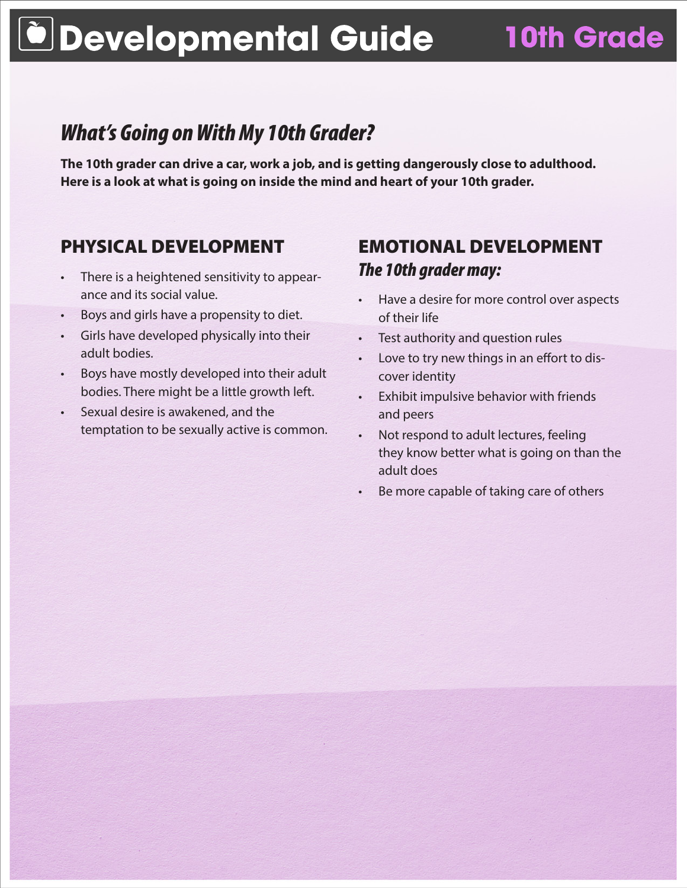## **Developmental Guide 10th Grade**

## *What's Going on With My 10th Grader?*

**The 10th grader can drive a car, work a job, and is getting dangerously close to adulthood. Here is a look at what is going on inside the mind and heart of your 10th grader.**

### PHYSICAL DEVELOPMENT

- There is a heightened sensitivity to appearance and its social value.
- Boys and girls have a propensity to diet.
- Girls have developed physically into their adult bodies.
- Boys have mostly developed into their adult bodies. There might be a little growth left.
- Sexual desire is awakened, and the temptation to be sexually active is common.

### EMOTIONAL DEVELOPMENT *The 10th grader may:*

- Have a desire for more control over aspects of their life
- • Test authority and question rules
- Love to try new things in an effort to discover identity
- • Exhibit impulsive behavior with friends and peers
- Not respond to adult lectures, feeling they know better what is going on than the adult does
- Be more capable of taking care of others